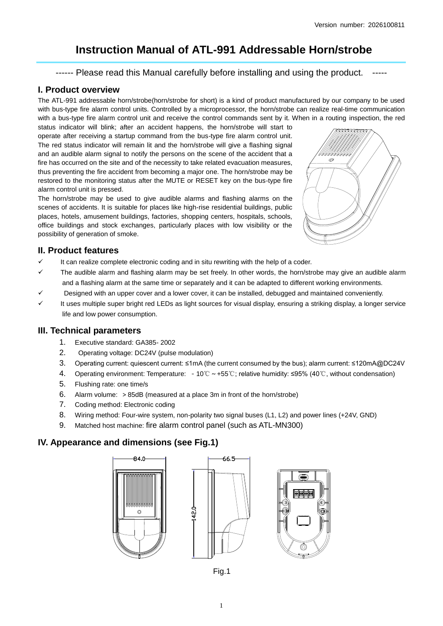# **Instruction Manual of ATL-991 Addressable Horn/strobe**

------ Please read this Manual carefully before installing and using the product.

#### **I. Product overview**

The ATL-991 addressable horn/strobe(horn/strobe for short) is a kind of product manufactured by our company to be used with bus-type fire alarm control units. Controlled by a microprocessor, the horn/strobe can realize real-time communication with a bus-type fire alarm control unit and receive the control commands sent by it. When in a routing inspection, the red

status indicator will blink; after an accident happens, the horn/strobe will start to operate after receiving a startup command from the bus-type fire alarm control unit. The red status indicator will remain lit and the horn/strobe will give a flashing signal and an audible alarm signal to notify the persons on the scene of the accident that a fire has occurred on the site and of the necessity to take related evacuation measures, thus preventing the fire accident from becoming a major one. The horn/strobe may be restored to the monitoring status after the MUTE or RESET key on the bus-type fire alarm control unit is pressed.

The horn/strobe may be used to give audible alarms and flashing alarms on the scenes of accidents. It is suitable for places like high-rise residential buildings, public places, hotels, amusement buildings, factories, shopping centers, hospitals, schools, office buildings and stock exchanges, particularly places with low visibility or the possibility of generation of smoke.



### **II. Product features**

- It can realize complete electronic coding and in situ rewriting with the help of a coder.
- The audible alarm and flashing alarm may be set freely. In other words, the horn/strobe may give an audible alarm and a flashing alarm at the same time or separately and it can be adapted to different working environments.
- Designed with an upper cover and a lower cover, it can be installed, debugged and maintained conveniently.
- It uses multiple super bright red LEDs as light sources for visual display, ensuring a striking display, a longer service life and low power consumption.

### **III. Technical parameters**

- 1. Executive standard: GA385- 2002
- 2. Operating voltage: DC24V (pulse modulation)
- 3. Operating current: quiescent current: ≤1mA (the current consumed by the bus); alarm current: ≤120mA@DC24V
- 4. Operating environment: Temperature: -10℃~+55℃; relative humidity: ≤95% (40℃, without condensation)
- 5. Flushing rate: one time/s
- 6. Alarm volume: >85dB (measured at a place 3m in front of the horn/strobe)
- 7. Coding method: Electronic coding
- 8. Wiring method: Four-wire system, non-polarity two signal buses (L1, L2) and power lines (+24V, GND)
- 9. Matched host machine: fire alarm control panel (such as ATL-MN300)

## **IV. Appearance and dimensions (see Fig.1)**





66.5



Fig.1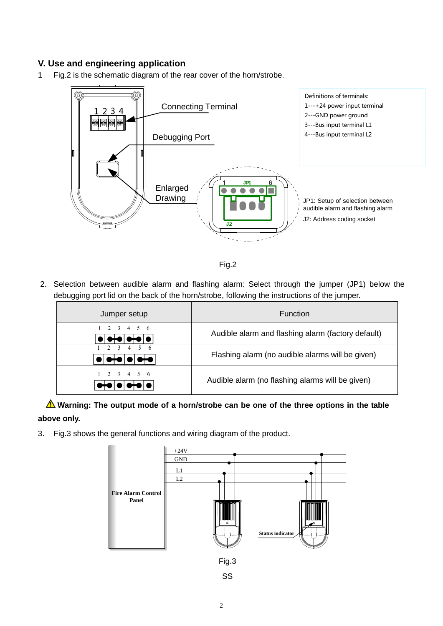# **V. Use and engineering application**

1 Fig.2 is the schematic diagram of the rear cover of the horn/strobe.





2. Selection between audible alarm and flashing alarm: Select through the jumper (JP1) below the debugging port lid on the back of the horn/strobe, following the instructions of the jumper.

| Jumper setup                                         | <b>Function</b>                                    |  |
|------------------------------------------------------|----------------------------------------------------|--|
| $1 \t2 \t3 \t4 \t5 \t6$<br>D†O O†O O                 | Audible alarm and flashing alarm (factory default) |  |
| $1 \t2 \t3 \t4 \t5 \t6$<br>₩<br>DI <del>oio</del> it | Flashing alarm (no audible alarms will be given)   |  |
| $1 \t2 \t3 \t4 \t5 \t6$                              | Audible alarm (no flashing alarms will be given)   |  |

**Warning: The output mode of a horn/strobe can be one of the three options in the table above only.**

3. Fig.3 shows the general functions and wiring diagram of the product.

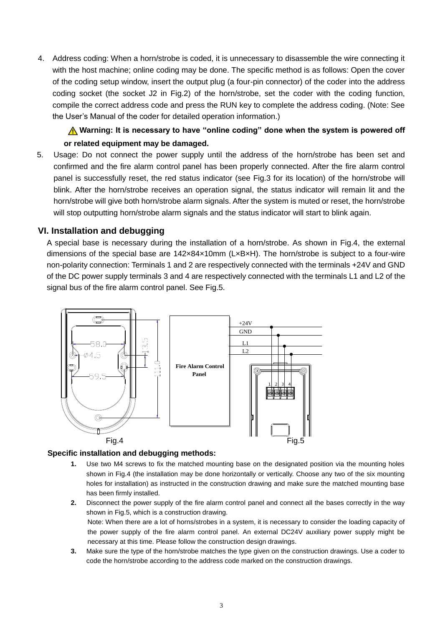4. Address coding: When a horn/strobe is coded, it is unnecessary to disassemble the wire connecting it with the host machine; online coding may be done. The specific method is as follows: Open the cover of the coding setup window, insert the output plug (a four-pin connector) of the coder into the address coding socket (the socket J2 in Fig.2) of the horn/strobe, set the coder with the coding function, compile the correct address code and press the RUN key to complete the address coding. (Note: See the User's Manual of the coder for detailed operation information.)

# **A** Warning: It is necessary to have "online coding" done when the system is powered off **or related equipment may be damaged.**

5. Usage: Do not connect the power supply until the address of the horn/strobe has been set and confirmed and the fire alarm control panel has been properly connected. After the fire alarm control panel is successfully reset, the red status indicator (see Fig.3 for its location) of the horn/strobe will blink. After the horn/strobe receives an operation signal, the status indicator will remain lit and the horn/strobe will give both horn/strobe alarm signals. After the system is muted or reset, the horn/strobe will stop outputting horn/strobe alarm signals and the status indicator will start to blink again.

### **VI. Installation and debugging**

A special base is necessary during the installation of a horn/strobe. As shown in Fig.4, the external dimensions of the special base are 142×84×10mm (LxBxH). The horn/strobe is subject to a four-wire non-polarity connection: Terminals 1 and 2 are respectively connected with the terminals +24V and GND of the DC power supply terminals 3 and 4 are respectively connected with the terminals L1 and L2 of the signal bus of the fire alarm control panel. See Fig.5.



#### **Specific installation and debugging methods:**

- **1.** Use two M4 screws to fix the matched mounting base on the designated position via the mounting holes shown in Fig.4 (the installation may be done horizontally or vertically. Choose any two of the six mounting holes for installation) as instructed in the construction drawing and make sure the matched mounting base has been firmly installed.
- **2.** Disconnect the power supply of the fire alarm control panel and connect all the bases correctly in the way shown in Fig.5, which is a construction drawing. Note: When there are a lot of horns/strobes in a system, it is necessary to consider the loading capacity of the power supply of the fire alarm control panel. An external DC24V auxiliary power supply might be necessary at this time. Please follow the construction design drawings.
- **3.** Make sure the type of the horn/strobe matches the type given on the construction drawings. Use a coder to code the horn/strobe according to the address code marked on the construction drawings.